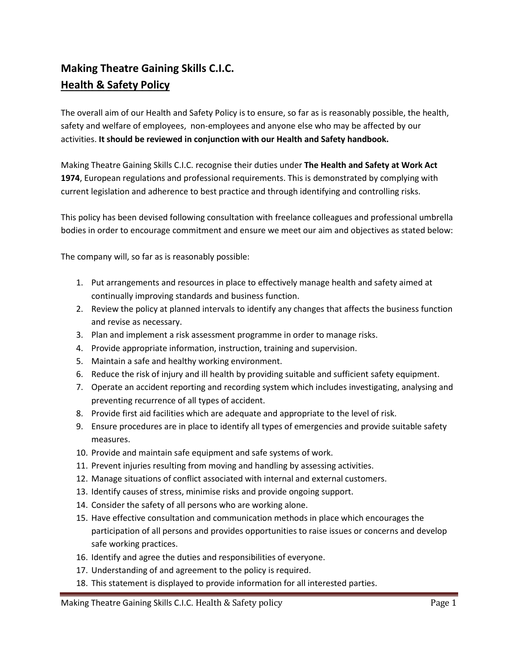## **Making Theatre Gaining Skills C.I.C. Health & Safety Policy**

The overall aim of our Health and Safety Policy is to ensure, so far as is reasonably possible, the health, safety and welfare of employees, non-employees and anyone else who may be affected by our activities. **It should be reviewed in conjunction with our Health and Safety handbook.**

Making Theatre Gaining Skills C.I.C. recognise their duties under **The Health and Safety at Work Act 1974**, European regulations and professional requirements. This is demonstrated by complying with current legislation and adherence to best practice and through identifying and controlling risks.

This policy has been devised following consultation with freelance colleagues and professional umbrella bodies in order to encourage commitment and ensure we meet our aim and objectives as stated below:

The company will, so far as is reasonably possible:

- 1. Put arrangements and resources in place to effectively manage health and safety aimed at continually improving standards and business function.
- 2. Review the policy at planned intervals to identify any changes that affects the business function and revise as necessary.
- 3. Plan and implement a risk assessment programme in order to manage risks.
- 4. Provide appropriate information, instruction, training and supervision.
- 5. Maintain a safe and healthy working environment.
- 6. Reduce the risk of injury and ill health by providing suitable and sufficient safety equipment.
- 7. Operate an accident reporting and recording system which includes investigating, analysing and preventing recurrence of all types of accident.
- 8. Provide first aid facilities which are adequate and appropriate to the level of risk.
- 9. Ensure procedures are in place to identify all types of emergencies and provide suitable safety measures.
- 10. Provide and maintain safe equipment and safe systems of work.
- 11. Prevent injuries resulting from moving and handling by assessing activities.
- 12. Manage situations of conflict associated with internal and external customers.
- 13. Identify causes of stress, minimise risks and provide ongoing support.
- 14. Consider the safety of all persons who are working alone.
- 15. Have effective consultation and communication methods in place which encourages the participation of all persons and provides opportunities to raise issues or concerns and develop safe working practices.
- 16. Identify and agree the duties and responsibilities of everyone.
- 17. Understanding of and agreement to the policy is required.
- 18. This statement is displayed to provide information for all interested parties.